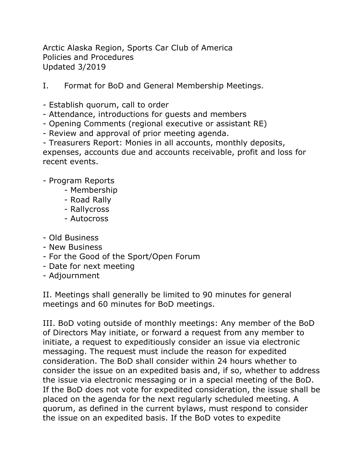Arctic Alaska Region, Sports Car Club of America Policies and Procedures Updated 3/2019

- I. Format for BoD and General Membership Meetings.
- Establish quorum, call to order
- Attendance, introductions for guests and members
- Opening Comments (regional executive or assistant RE)
- Review and approval of prior meeting agenda.

- Treasurers Report: Monies in all accounts, monthly deposits, expenses, accounts due and accounts receivable, profit and loss for recent events.

- Program Reports
	- Membership
	- Road Rally
	- Rallycross
	- Autocross
- Old Business
- New Business
- For the Good of the Sport/Open Forum
- Date for next meeting
- Adjournment

II. Meetings shall generally be limited to 90 minutes for general meetings and 60 minutes for BoD meetings.

III. BoD voting outside of monthly meetings: Any member of the BoD of Directors May initiate, or forward a request from any member to initiate, a request to expeditiously consider an issue via electronic messaging. The request must include the reason for expedited consideration. The BoD shall consider within 24 hours whether to consider the issue on an expedited basis and, if so, whether to address the issue via electronic messaging or in a special meeting of the BoD. If the BoD does not vote for expedited consideration, the issue shall be placed on the agenda for the next regularly scheduled meeting. A quorum, as defined in the current bylaws, must respond to consider the issue on an expedited basis. If the BoD votes to expedite